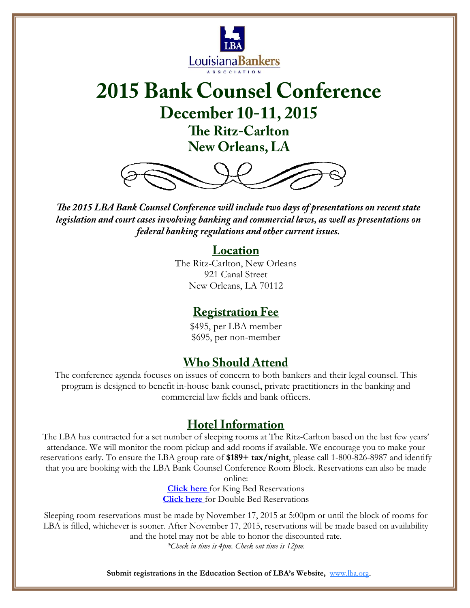

# **2015 Bank Counsel Conference December 10-11, 2015 The Ritz-Carlton New Orleans, LA**



*The 2015 LBA Bank Counsel Conference will include two days of presentations on recent state legislation and court cases involving banking and commercial laws, as well as presentations on federal banking regulations and other current issues.* 

### **Location**

The Ritz-Carlton, New Orleans 921 Canal Street New Orleans, LA 70112

### **Registration Fee**

\$495, per LBA member \$695, per non-member

### **Who Should Attend**

The conference agenda focuses on issues of concern to both bankers and their legal counsel. This program is designed to benefit in-house bank counsel, private practitioners in the banking and commercial law fields and bank officers.

### **Hotel Information**

The LBA has contracted for a set number of sleeping rooms at The Ritz-Carlton based on the last few years' attendance. We will monitor the room pickup and add rooms if available. We encourage you to make your reservations early. To ensure the LBA group rate of **\$189+ tax/night**, please call 1-800-826-8987 and identify that you are booking with the LBA Bank Counsel Conference Room Block. Reservations can also be made online:

**[Click here](https://reservations.ritzcarlton.com/ritz/reservation/availability.mi?propertyCode=MSYRZ&groupCode=SUPSUPA)** for King Bed Reservations **[Click here](https://reservations.ritzcarlton.com/ritz/reservation/availability.mi?propertyCode=MSYRZ&groupCode=SUPSUPB)** for Double Bed Reservations

Sleeping room reservations must be made by November 17, 2015 at 5:00pm or until the block of rooms for LBA is filled, whichever is sooner. After November 17, 2015, reservations will be made based on availability and the hotel may not be able to honor the discounted rate.

*\*Check in time is 4pm. Check out time is 12pm.* 

**Submit registrations in the Education Section of LBA's Website,** www.lba.org.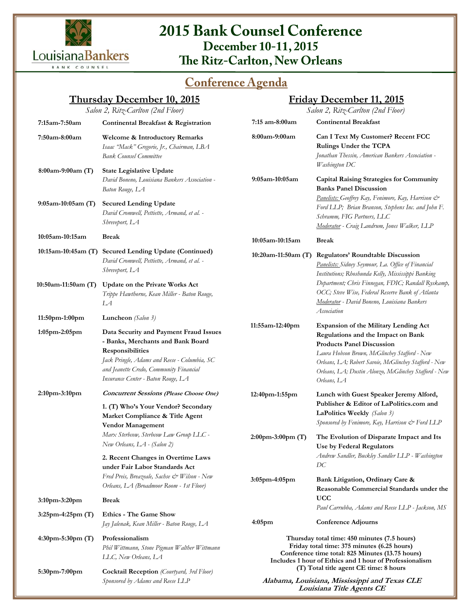

### **2015 Bank Counsel Conference December 10-11, 2015 The Ritz-Carlton, New Orleans**

## **Conference Agenda**

### **Thursday December 10, 2015**

#### **Friday December 11, 2015**

*Salon 2, Ritz-Carlton (2nd Floor)*  **7:15am-7:50am Continental Breakfast & Registration 7:50am-8:00am Welcome & Introductory Remarks**  *Isaac "Mack" Gregorie, Jr., Chairman, LBA Bank Counsel Committee*  **8:00am-9:00am (T) State Legislative Update**   *David Boneno, Louisiana Bankers Association - Baton Rouge, LA*  **9:05am-10:05am (T) Secured Lending Update**  *David Cromwell, Pettiette, Armand, et al. - Shreveport, LA*  **10:05am-10:15am Break 10:15am-10:45am (T) Secured Lending Update (Continued)** *David Cromwell, Pettiette, Armand, et al. - Shreveport, LA*  **10:50am-11:50am (T) Update on the Private Works Act**  *Trippe Hawthorne, Kean Miller - Baton Rouge, LA*  **11:50pm-1:00pm Luncheon** *(Salon 3)*  **1:05pm-2:05pm Data Security and Payment Fraud Issues - Banks, Merchants and Bank Board Responsibilities** *Jack Pringle, Adams and Reese - Columbia, SC and Jeanette Credo, Community Financial Insurance Center - Baton Rouge, LA*  **2:10pm-3:10pm Concurrent Sessions (Please Choose One) 1. (T) Who's Your Vendor? Secondary Market Compliance & Title Agent Vendor Management**  *Marx Sterbcow, Sterbcow Law Group LLC - New Orleans, LA - (Salon 2)* **2. Recent Changes in Overtime Laws under Fair Labor Standards Act** *Fred Preis, Breazeale, Sachse & Wilson - New Orleans, LA (Broadmoor Room - 1st Floor)* **3:10pm-3:20pm Break 3:25pm-4:25pm (T) Ethics - The Game Show**  *Jay Jalenak, Kean Miller - Baton Rouge, LA*  **4:30pm-5:30pm (T) Professionalism**  *Phil Wittmann, Stone Pigman Walther Wittmann LLC, New Orleans, LA Salon 2, Ritz-Carlton (2nd Floor)*  **7:15 am-8:00am Continental Breakfast 8:00am-9:00am Can I Text My Customer? Recent FCC Rulings Under the TCPA**  *Jonathan Thessin, American Bankers Association - Washington DC*  **9:05am-10:05am Capital Raising Strategies for Community Banks Panel Discussion**  *Panelists: Geoffrey Kay, Fenimore, Kay, Harrison & Ford LLP; Brian Branson, Stephens Inc. and John F. Schramm, FIG Partners, LLC Moderator - Craig Landrum, Jones Walker, LLP*  **10:05am-10:15am Break 10:20am-11:50am (T) Regulators' Roundtable Discussion** *Panelists: Sidney Seymour, La. Office of Financial Institutions; Rhoshunda Kelly, Mississippi Banking Department; Chris Finnegan, FDIC; Randall Ryskamp, OCC; Steve Wise, Federal Reserve Bank of Atlanta Moderator - David Boneno, Louisiana Bankers Association*  **11:55am-12:40pm Expansion of the Military Lending Act Regulations and the Impact on Bank Products Panel Discussion**  *Laura Hobson Brown, McGlinchey Stafford - New Orleans, LA; Robert Savoie, McGlinchey Stafford - New Orleans, LA; Dustin Alonzo, McGlinchey Stafford - New Orleans, LA* **12:40pm-1:55pm Lunch with Guest Speaker Jeremy Alford, Publisher & Editor of LaPolitics.com and LaPolitics Weekly** *(Salon 3)**Sponsored by Fenimore, Kay, Harrison & Ford LLP* **2:00pm-3:00pm (T) The Evolution of Disparate Impact and Its Use by Federal Regulators**  *Andrew Sandler, Buckley Sandler LLP - Washington DC*  **3:05pm-4:05pm Bank Litigation, Ordinary Care & Reasonable Commercial Standards under the UCC**  *Paul Carrubba, Adams and Reese LLP - Jackson, MS*  **4:05pm Conference Adjourns Thursday total time: 450 minutes (7.5 hours) Friday total time: 375 minutes (6.25 hours) Conference time total: 825 Minutes (13.75 hours) Includes 1 hour of Ethics and 1 hour of Professionalism (T) Total title agent CE time: 8 hours**

**5:30pm-7:00pm Cocktail Reception** *(Courtyard, 3rd Floor) Sponsored by Adams and Reese LLP*

**Alabama, Louisiana, Mississippi and Texas CLE Louisiana Title Agents CE**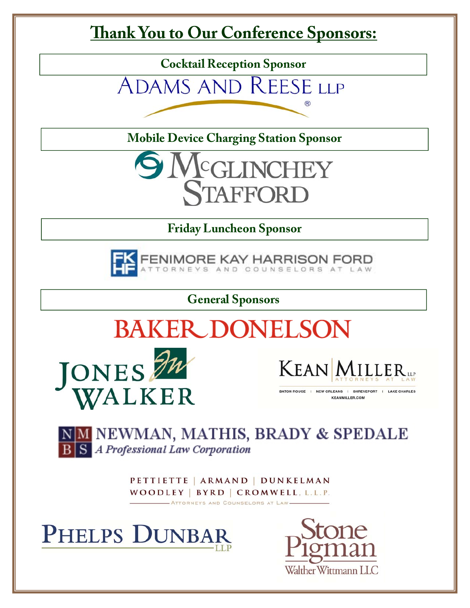# **Thank You to Our Conference Sponsors:**

**Cocktail Reception Sponsor** 

ADAMS AND REESE LLP

**Mobile Device Charging Station Sponsor** 



**Friday Luncheon Sponsor** 



**General Sponsors** 







BATON ROUGE | NEW ORLEANS | SHREVEPORT | LAKE CHARLES **KEANMILLER.COM** 

NM NEWMAN, MATHIS, BRADY & SPEDALE **B S** A Professional Law Corporation

> PETTIETTE | ARMAND | DUNKELMAN WOODLEY | BYRD | CROMWELL, L.L.P. - ATTORNEYS AND COUNSELORS AT LAW-



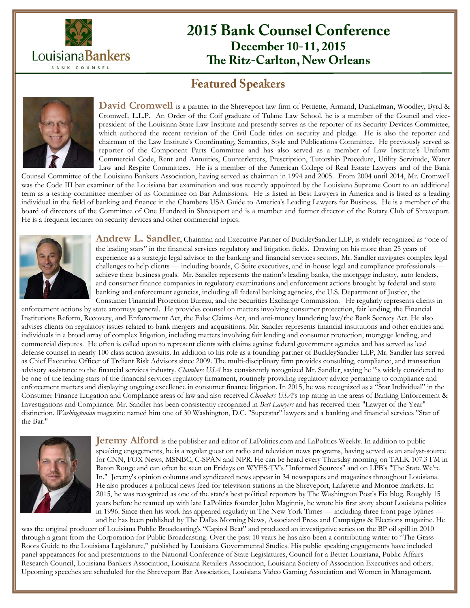

### **2015 Bank Counsel Conference December 10-11, 2015 The Ritz-Carlton, New Orleans**

### **Featured Speakers**



David Cromwell is a partner in the Shreveport law firm of Pettiette, Armand, Dunkelman, Woodley, Byrd & Cromwell, L.L.P. An Order of the Coif graduate of Tulane Law School, he is a member of the Council and vicepresident of the Louisiana State Law Institute and presently serves as the reporter of its Security Devices Committee, which authored the recent revision of the Civil Code titles on security and pledge. He is also the reporter and chairman of the Law Institute's Coordinating, Semantics, Style and Publications Committee. He previously served as reporter of the Component Parts Committee and has also served as a member of Law Institute's Uniform Commercial Code, Rent and Annuities, Counterletters, Prescription, Tutorship Procedure, Utility Servitude, Water Law and Respite Committees. He is a member of the American College of Real Estate Lawyers and of the Bank

Counsel Committee of the Louisiana Bankers Association, having served as chairman in 1994 and 2005. From 2004 until 2014, Mr. Cromwell was the Code III bar examiner of the Louisiana bar examination and was recently appointed by the Louisiana Supreme Court to an additional term as a testing committee member of its Committee on Bar Admissions. He is listed in Best Lawyers in America and is listed as a leading individual in the field of banking and finance in the Chambers USA Guide to America's Leading Lawyers for Business. He is a member of the board of directors of the Committee of One Hundred in Shreveport and is a member and former director of the Rotary Club of Shreveport. He is a frequent lecturer on security devices and other commercial topics.



Andrew L. Sandler, Chairman and Executive Partner of BuckleySandler LLP, is widely recognized as "one of the leading stars" in the financial services regulatory and litigation fields. Drawing on his more than 25 years of experience as a strategic legal advisor to the banking and financial services sectors, Mr. Sandler navigates complex legal challenges to help clients — including boards, C-Suite executives, and in-house legal and compliance professionals achieve their business goals. Mr. Sandler represents the nation's leading banks, the mortgage industry, auto lenders, and consumer finance companies in regulatory examinations and enforcement actions brought by federal and state banking and enforcement agencies, including all federal banking agencies, the U.S. Department of Justice, the Consumer Financial Protection Bureau, and the Securities Exchange Commission. He regularly represents clients in

enforcement actions by state attorneys general. He provides counsel on matters involving consumer protection, fair lending, the Financial Institutions Reform, Recovery, and Enforcement Act, the False Claims Act, and anti-money laundering law/the Bank Secrecy Act. He also advises clients on regulatory issues related to bank mergers and acquisitions. Mr. Sandler represents financial institutions and other entities and individuals in a broad array of complex litigation, including matters involving fair lending and consumer protection, mortgage lending, and commercial disputes. He often is called upon to represent clients with claims against federal government agencies and has served as lead defense counsel in nearly 100 class action lawsuits. In addition to his role as a founding partner of BuckleySandler LLP, Mr. Sandler has served as Chief Executive Officer of Treliant Risk Advisors since 2009. The multi-disciplinary firm provides consulting, compliance, and transaction advisory assistance to the financial services industry. *Chambers USA* has consistently recognized Mr. Sandler, saying he "is widely considered to be one of the leading stars of the financial services regulatory firmament, routinely providing regulatory advice pertaining to compliance and enforcement matters and displaying ongoing excellence in consumer finance litigation. In 2015, he was recognized as a "Star Individual" in the Consumer Finance Litigation and Compliance areas of law and also received *Chambers USA*'s top rating in the areas of Banking Enforcement & Investigations and Compliance. Mr. Sandler has been consistently recognized in *Best Lawyers* and has received their "Lawyer of the Year" distinction. *Washingtonian* magazine named him one of 30 Washington, D.C. "Superstar" lawyers and a banking and financial services "Star of the Bar."



**Jeremy Alford** is the publisher and editor of LaPolitics.com and LaPolitics Weekly. In addition to public speaking engagements, he is a regular guest on radio and television news programs, having served as an analyst-source for CNN, FOX News, MSNBC, C-SPAN and NPR. He can be heard every Thursday morning on TALK 107.3 FM in Baton Rouge and can often be seen on Fridays on WYES-TV's "Informed Sources" and on LPB's "The State We're In." Jeremy's opinion columns and syndicated news appear in 34 newspapers and magazines throughout Louisiana. He also produces a political news feed for television stations in the Shreveport, Lafayette and Monroe markets. In 2015, he was recognized as one of the state's best political reporters by The Washington Post's Fix blog. Roughly 15 years before he teamed up with late LaPolitics founder John Maginnis, he wrote his first story about Louisiana politics in 1996. Since then his work has appeared regularly in The New York Times — including three front page bylines and he has been published by The Dallas Morning News, Associated Press and Campaigns & Elections magazine. He

was the original producer of Louisiana Public Broadcasting's "Capitol Beat" and produced an investigative series on the BP oil spill in 2010 through a grant from the Corporation for Public Broadcasting. Over the past 10 years he has also been a contributing writer to "The Grass Roots Guide to the Louisiana Legislature," published by Louisiana Governmental Studies. His public speaking engagements have included panel appearances for and presentations to the National Conference of State Legislatures, Council for a Better Louisiana, Public Affairs Research Council, Louisiana Bankers Association, Louisiana Retailers Association, Louisiana Society of Association Executives and others. Upcoming speeches are scheduled for the Shreveport Bar Association, Louisiana Video Gaming Association and Women in Management.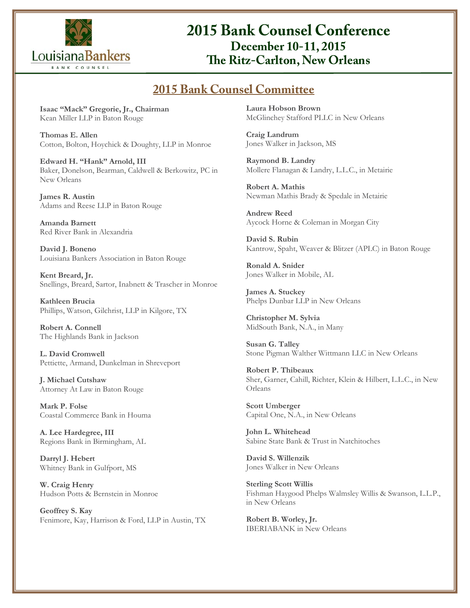

## **2015 Bank Counsel Conference December 10-11, 2015 The Ritz-Carlton, New Orleans**

### **2015 Bank Counsel Committee**

**Isaac "Mack" Gregorie, Jr., Chairman** Kean Miller LLP in Baton Rouge

**Thomas E. Allen** Cotton, Bolton, Hoychick & Doughty, LLP in Monroe

**Edward H. "Hank" Arnold, III** Baker, Donelson, Bearman, Caldwell & Berkowitz, PC in New Orleans

**James R. Austin** Adams and Reese LLP in Baton Rouge

**Amanda Barnett** Red River Bank in Alexandria

**David J. Boneno** Louisiana Bankers Association in Baton Rouge

**Kent Breard, Jr.** Snellings, Breard, Sartor, Inabnett & Trascher in Monroe

**Kathleen Brucia** Phillips, Watson, Gilchrist, LLP in Kilgore, TX

**Robert A. Connell** The Highlands Bank in Jackson

**L. David Cromwell** Pettiette, Armand, Dunkelman in Shreveport

**J. Michael Cutshaw** Attorney At Law in Baton Rouge

**Mark P. Folse** Coastal Commerce Bank in Houma

**A. Lee Hardegree, III**  Regions Bank in Birmingham, AL

**Darryl J. Hebert** Whitney Bank in Gulfport, MS

**W. Craig Henry** Hudson Potts & Bernstein in Monroe

**Geoffrey S. Kay** Fenimore, Kay, Harrison & Ford, LLP in Austin, TX **Laura Hobson Brown** McGlinchey Stafford PLLC in New Orleans

**Craig Landrum** Jones Walker in Jackson, MS

**Raymond B. Landry** Mollere Flanagan & Landry, L.L.C., in Metairie

**Robert A. Mathis** Newman Mathis Brady & Spedale in Metairie

**Andrew Reed** Aycock Horne & Coleman in Morgan City

**David S. Rubin** Kantrow, Spaht, Weaver & Blitzer (APLC) in Baton Rouge

**Ronald A. Snider** Jones Walker in Mobile, AL

**James A. Stuckey** Phelps Dunbar LLP in New Orleans

**Christopher M. Sylvia** MidSouth Bank, N.A., in Many

**Susan G. Talley** Stone Pigman Walther Wittmann LLC in New Orleans

**Robert P. Thibeaux** Sher, Garner, Cahill, Richter, Klein & Hilbert, L.L.C., in New Orleans

**Scott Umberger** Capital One, N.A., in New Orleans

**John L. Whitehead** Sabine State Bank & Trust in Natchitoches

**David S. Willenzik** Jones Walker in New Orleans

**Sterling Scott Willis** Fishman Haygood Phelps Walmsley Willis & Swanson, L.L.P., in New Orleans

**Robert B. Worley, Jr.** IBERIABANK in New Orleans